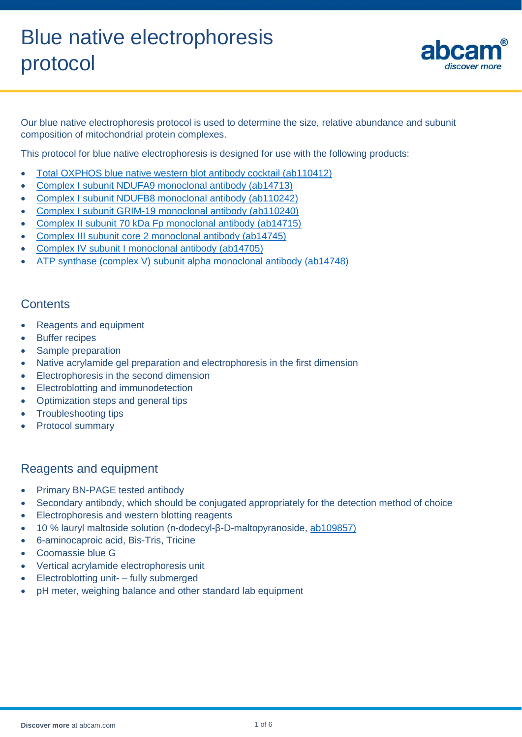

Our blue native electrophoresis protocol is used to determine the size, relative abundance and subunit composition of mitochondrial protein complexes.

This protocol for blue native electrophoresis is designed for use with the following products:

- [Total OXPHOS blue native western blot](http://www.abcam.com/ab110412) antibody cocktail (ab110412)
- [Complex I subunit NDUFA9 monoclonal antibody \(ab14713\)](http://www.abcam.com/ab14713)
- [Complex I subunit NDUFB8 monoclonal antibody \(ab110242\)](http://www.abcam.com/ab110242)
- [Complex I subunit GRIM-19 monoclonal antibody \(ab110240\)](http://www.abcam.com/ab110240)
- [Complex II subunit 70 kDa Fp monoclonal antibody \(ab14715\)](http://www.abcam.com/ab14715)
- [Complex III subunit core 2 monoclonal antibody \(ab14745\)](http://www.abcam.com/ab14745)
- [Complex IV subunit I monoclonal antibody \(ab14705\)](http://www.abcam.com/ab14705)
- ATP synthase [\(complex V\) subunit alpha monoclonal antibody \(ab14748\)](http://www.abcam.com/ab14748)

# **Contents**

- Reagents and equipment
- Buffer recipes
- Sample preparation
- Native acrylamide gel preparation and electrophoresis in the first dimension
- Electrophoresis in the second dimension
- Electroblotting and immunodetection
- Optimization steps and general tips
- Troubleshooting tips
- Protocol summary

# Reagents and equipment

- Primary BN-PAGE tested antibody
- Secondary antibody, which should be conjugated appropriately for the detection method of choice
- Electrophoresis and western blotting reagents
- 10 % lauryl maltoside solution (n-dodecyl-β-D-maltopyranoside, [ab109857\)](http://www.abcam.com/ab109857)
- 6-aminocaproic acid, Bis-Tris, Tricine
- Coomassie blue G
- Vertical acrylamide electrophoresis unit
- Electroblotting unit- fully submerged
- pH meter, weighing balance and other standard lab equipment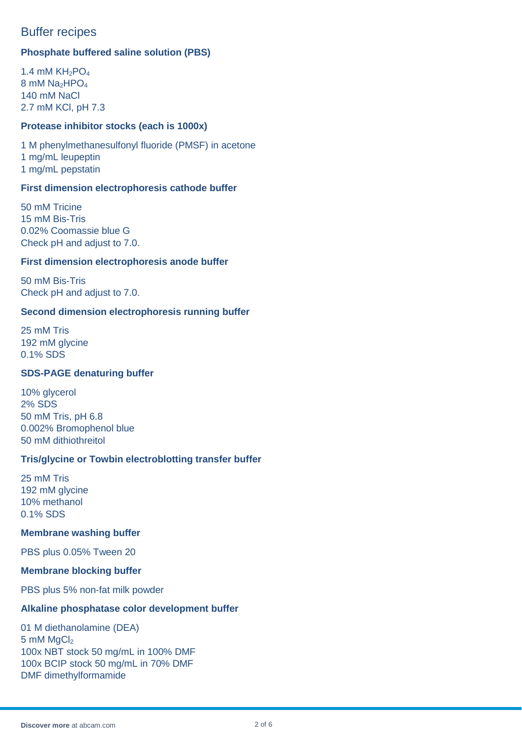# Buffer recipes

# **Phosphate buffered saline solution (PBS)**

1.4 mM  $KH<sub>2</sub>PO<sub>4</sub>$ 8 mM Na<sub>2</sub>HPO<sub>4</sub> 140 mM NaCl 2.7 mM KCl, pH 7.3

## **Protease inhibitor stocks (each is 1000x)**

1 M phenylmethanesulfonyl fluoride (PMSF) in acetone 1 mg/mL leupeptin 1 mg/mL pepstatin

### **First dimension electrophoresis cathode buffer**

50 mM Tricine 15 mM Bis-Tris 0.02% Coomassie blue G Check pH and adjust to 7.0.

### **First dimension electrophoresis anode buffer**

50 mM Bis-Tris Check pH and adjust to 7.0.

### **Second dimension electrophoresis running buffer**

25 mM Tris 192 mM glycine 0.1% SDS

# **SDS-PAGE denaturing buffer**

10% glycerol 2% SDS 50 mM Tris, pH 6.8 0.002% Bromophenol blue 50 mM dithiothreitol

### **Tris/glycine or Towbin electroblotting transfer buffer**

25 mM Tris 192 mM glycine 10% methanol 0.1% SDS

### **Membrane washing buffer**

PBS plus 0.05% Tween 20

### **Membrane blocking buffer**

PBS plus 5% non-fat milk powder

### **Alkaline phosphatase color development buffer**

01 M diethanolamine (DEA)  $5 \text{ mM } MgCl<sub>2</sub>$ 100x NBT stock 50 mg/mL in 100% DMF 100x BCIP stock 50 mg/mL in 70% DMF DMF dimethylformamide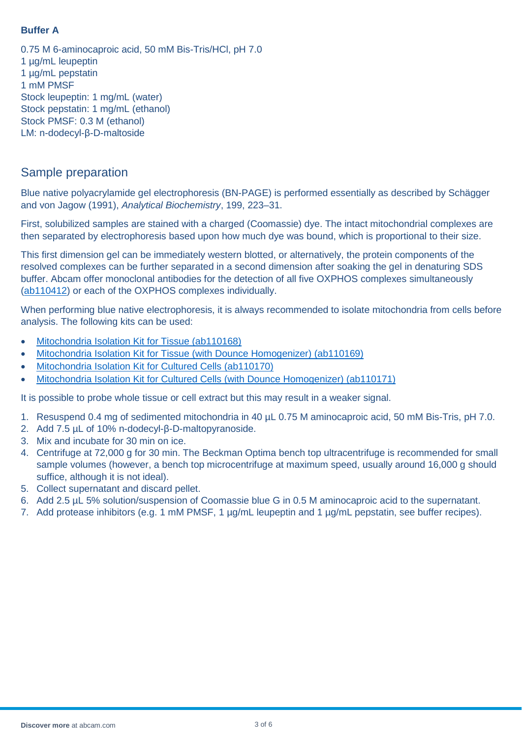# **Buffer A**

0.75 M 6-aminocaproic acid, 50 mM Bis-Tris/HCl, pH 7.0 1 µg/mL leupeptin 1 µg/mL pepstatin 1 mM PMSF Stock leupeptin: 1 mg/mL (water) Stock pepstatin: 1 mg/mL (ethanol) Stock PMSF: 0.3 M (ethanol) LM: n-dodecyl-β-D-maltoside

# Sample preparation

Blue native polyacrylamide gel electrophoresis (BN-PAGE) is performed essentially as described by Schägger and von Jagow (1991), *Analytical Biochemistry*, 199, 223–31.

First, solubilized samples are stained with a charged (Coomassie) dye. The intact mitochondrial complexes are then separated by electrophoresis based upon how much dye was bound, which is proportional to their size.

This first dimension gel can be immediately western blotted, or alternatively, the protein components of the resolved complexes can be further separated in a second dimension after soaking the gel in denaturing SDS buffer. Abcam offer monoclonal antibodies for the detection of all five OXPHOS complexes simultaneously [\(ab110412\)](http://www.abcam.com/ab110412) or each of the OXPHOS complexes individually.

When performing blue native electrophoresis, it is always recommended to isolate mitochondria from cells before analysis. The following kits can be used:

- [Mitochondria Isolation Kit for Tissue \(ab110168\)](http://www.abcam.com/ab110168)
- [Mitochondria Isolation Kit for Tissue \(with Dounce Homogenizer\) \(ab110169\)](http://www.abcam.com/ab110169)
- [Mitochondria Isolation Kit for Cultured Cells \(ab110170\)](http://www.abcam.com/ab110170)
- [Mitochondria Isolation Kit for Cultured Cells \(with Dounce Homogenizer\) \(ab110171\)](http://www.abcam.com/ab110171)

It is possible to probe whole tissue or cell extract but this may result in a weaker signal.

- 1. Resuspend 0.4 mg of sedimented mitochondria in 40 µL 0.75 M aminocaproic acid, 50 mM Bis-Tris, pH 7.0.
- 2. Add 7.5 µL of 10% n-dodecyl-β-D-maltopyranoside.
- 3. Mix and incubate for 30 min on ice.
- 4. Centrifuge at 72,000 g for 30 min. The Beckman Optima bench top ultracentrifuge is recommended for small sample volumes (however, a bench top microcentrifuge at maximum speed, usually around 16,000 g should suffice, although it is not ideal).
- 5. Collect supernatant and discard pellet.
- 6. Add 2.5 µL 5% solution/suspension of Coomassie blue G in 0.5 M aminocaproic acid to the supernatant.
- 7. Add protease inhibitors (e.g. 1 mM PMSF, 1 µg/mL leupeptin and 1 µg/mL pepstatin, see buffer recipes).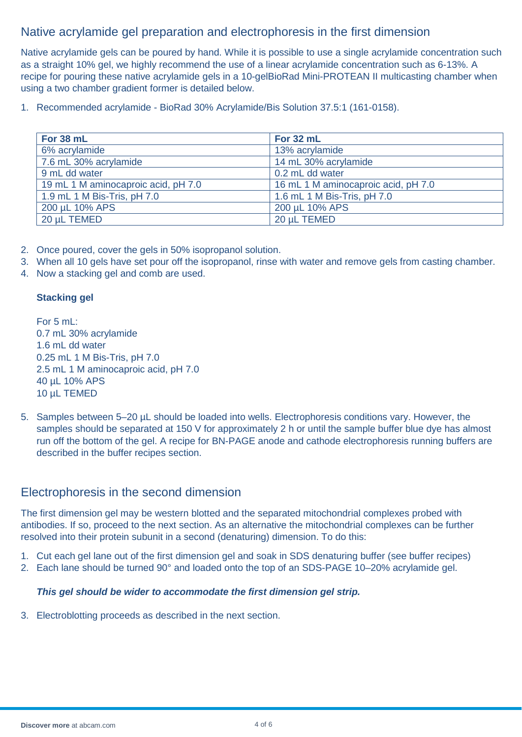# Native acrylamide gel preparation and electrophoresis in the first dimension

Native acrylamide gels can be poured by hand. While it is possible to use a single acrylamide concentration such as a straight 10% gel, we highly recommend the use of a linear acrylamide concentration such as 6-13%. A recipe for pouring these native acrylamide gels in a 10-gelBioRad Mini-PROTEAN II multicasting chamber when using a two chamber gradient former is detailed below.

1. Recommended acrylamide - BioRad 30% Acrylamide/Bis Solution 37.5:1 (161-0158).

| For 38 mL                           | For 32 mL                           |
|-------------------------------------|-------------------------------------|
| 6% acrylamide                       | 13% acrylamide                      |
| 7.6 mL 30% acrylamide               | 14 mL 30% acrylamide                |
| 9 mL dd water                       | 0.2 mL dd water                     |
| 19 mL 1 M aminocaproic acid, pH 7.0 | 16 mL 1 M aminocaproic acid, pH 7.0 |
| 1.9 mL 1 M Bis-Tris, pH 7.0         | 1.6 mL 1 M Bis-Tris, pH 7.0         |
| 200 µL 10% APS                      | 200 µL 10% APS                      |
| 20 µL TEMED                         | 20 µL TEMED                         |

- 2. Once poured, cover the gels in 50% isopropanol solution.
- 3. When all 10 gels have set pour off the isopropanol, rinse with water and remove gels from casting chamber.
- 4. Now a stacking gel and comb are used.

# **Stacking gel**

For 5 mL: 0.7 mL 30% acrylamide 1.6 mL dd water 0.25 mL 1 M Bis-Tris, pH 7.0 2.5 mL 1 M aminocaproic acid, pH 7.0 40 µL 10% APS 10 µL TEMED

5. Samples between 5–20 µL should be loaded into wells. Electrophoresis conditions vary. However, the samples should be separated at 150 V for approximately 2 h or until the sample buffer blue dye has almost run off the bottom of the gel. A recipe for BN-PAGE anode and cathode electrophoresis running buffers are described in the buffer recipes section.

# Electrophoresis in the second dimension

The first dimension gel may be western blotted and the separated mitochondrial complexes probed with antibodies. If so, proceed to the next section. As an alternative the mitochondrial complexes can be further resolved into their protein subunit in a second (denaturing) dimension. To do this:

- 1. Cut each gel lane out of the first dimension gel and soak in SDS denaturing buffer (see buffer recipes)
- 2. Each lane should be turned 90° and loaded onto the top of an SDS-PAGE 10–20% acrylamide gel.

# *This gel should be wider to accommodate the first dimension gel strip.*

3. Electroblotting proceeds as described in the next section.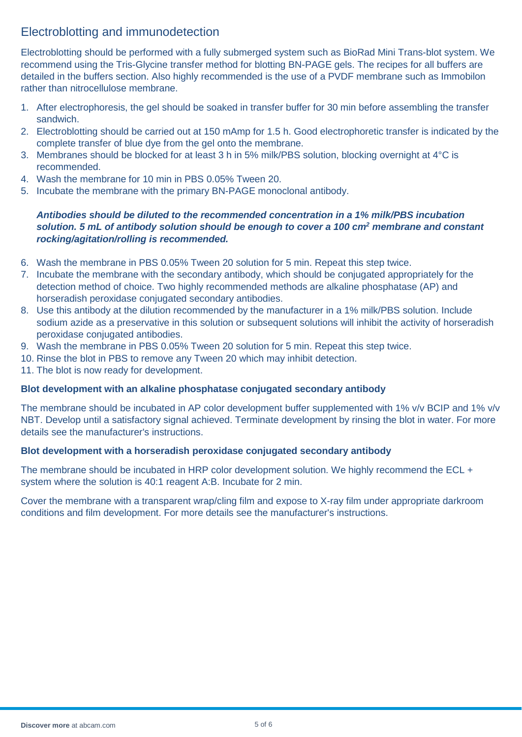# Electroblotting and immunodetection

Electroblotting should be performed with a fully submerged system such as BioRad Mini Trans-blot system. We recommend using the Tris-Glycine transfer method for blotting BN-PAGE gels. The recipes for all buffers are detailed in the buffers section. Also highly recommended is the use of a PVDF membrane such as Immobilon rather than nitrocellulose membrane.

- 1. After electrophoresis, the gel should be soaked in transfer buffer for 30 min before assembling the transfer sandwich.
- 2. Electroblotting should be carried out at 150 mAmp for 1.5 h. Good electrophoretic transfer is indicated by the complete transfer of blue dye from the gel onto the membrane.
- 3. Membranes should be blocked for at least 3 h in 5% milk/PBS solution, blocking overnight at 4°C is recommended.
- 4. Wash the membrane for 10 min in PBS 0.05% Tween 20.
- 5. Incubate the membrane with the primary BN-PAGE monoclonal antibody.

### *Antibodies should be diluted to the recommended concentration in a 1% milk/PBS incubation solution. 5 mL of antibody solution should be enough to cover a 100 cm2 membrane and constant rocking/agitation/rolling is recommended.*

- 6. Wash the membrane in PBS 0.05% Tween 20 solution for 5 min. Repeat this step twice.
- 7. Incubate the membrane with the secondary antibody, which should be conjugated appropriately for the detection method of choice. Two highly recommended methods are alkaline phosphatase (AP) and horseradish peroxidase conjugated secondary antibodies.
- 8. Use this antibody at the dilution recommended by the manufacturer in a 1% milk/PBS solution. Include sodium azide as a preservative in this solution or subsequent solutions will inhibit the activity of horseradish peroxidase conjugated antibodies.
- 9. Wash the membrane in PBS 0.05% Tween 20 solution for 5 min. Repeat this step twice.
- 10. Rinse the blot in PBS to remove any Tween 20 which may inhibit detection.
- 11. The blot is now ready for development.

### **Blot development with an alkaline phosphatase conjugated secondary antibody**

The membrane should be incubated in AP color development buffer supplemented with 1% v/v BCIP and 1% v/v NBT. Develop until a satisfactory signal achieved. Terminate development by rinsing the blot in water. For more details see the manufacturer's instructions.

### **Blot development with a horseradish peroxidase conjugated secondary antibody**

The membrane should be incubated in HRP color development solution. We highly recommend the ECL + system where the solution is 40:1 reagent A:B. Incubate for 2 min.

Cover the membrane with a transparent wrap/cling film and expose to X-ray film under appropriate darkroom conditions and film development. For more details see the manufacturer's instructions.